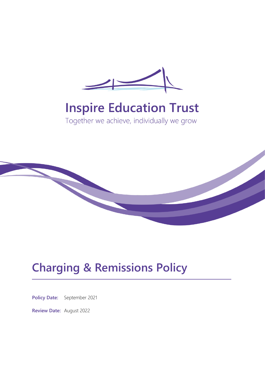

# **Inspire Education Trust**

Together we achieve, individually we grow



## **Charging & Remissions Policy**

**Policy Date:** September 2021

**Review Date:** August 2022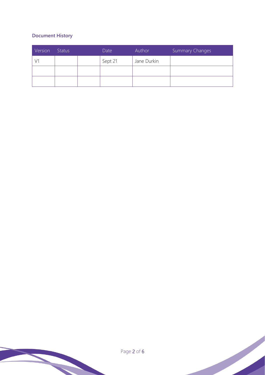## **Document History**

| Version | Status | Date    | Author      | Summary Changes |
|---------|--------|---------|-------------|-----------------|
|         |        | Sept 21 | Jane Durkin |                 |
|         |        |         |             |                 |
|         |        |         |             |                 |

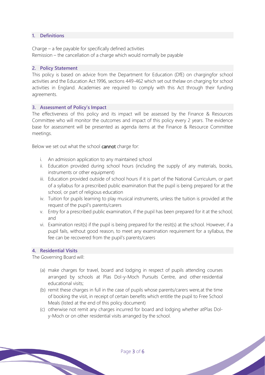## **1. Definitions**

Charge – a fee payable for specifically defined activities Remission – the cancellation of a charge which would normally be payable

#### **2. Policy Statement**

This policy is based on advice from the Department for Education (DfE) on chargingfor school activities and the Education Act 1996, sections 449-462 which set out thelaw on charging for school activities in England. Academies are required to comply with this Act through their funding agreements.

#### **3. Assessment of Policy's Impact**

The effectiveness of this policy and its impact will be assessed by the Finance & Resources Committee who will monitor the outcomes and impact of this policy every 2 years. The evidence base for assessment will be presented as agenda items at the Finance & Resource Committee meetings.

Below we set out what the school cannot charge for:

- i. An admission application to any maintained school
- ii. Education provided during school hours (including the supply of any materials, books, instruments or other equipment)
- iii. Education provided outside of school hours if it is part of the National Curriculum, or part of a syllabus for a prescribed public examination that the pupil is being prepared for at the school, or part of religious education
- iv. Tuition for pupils learning to play musical instruments, unless the tuition is provided at the request of the pupil's parents/carers
- v. Entry for a prescribed public examination, if the pupil has been prepared for it at the school; and
- vi. Examination resit(s) if the pupil is being prepared for the resit(s) at the school. However, if a pupil fails, without good reason, to meet any examination requirement for a syllabus, the fee can be recovered from the pupil's parents/carers

### **4. Residential Visits**

The Governing Board will:

- (a) make charges for travel, board and lodging in respect of pupils attending courses arranged by schools at Plas Dol-y-Moch Pursuits Centre, and other residential educational visits;
- (b) remit these charges in full in the case of pupils whose parents/carers were,at the time of booking the visit, in receipt of certain benefits which entitle the pupil to Free School Meals (listed at the end of this policy document)
- (c) otherwise not remit any charges incurred for board and lodging whether atPlas Doly-Moch or on other residential visits arranged by the school.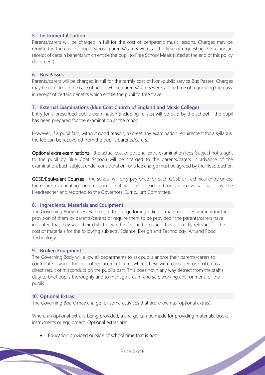## **5. Instrumental Tuition**

Parents/carers will be charged in full for the cost of peripatetic music lessons. Charges may be remitted in the case of pupils whose parents/carers were, at the time of requesting the tuition, in receipt of certain benefits which entitle the pupil to Free School Meals (listed at the end of this policy document).

#### **6. Bus Passes**

Parents/carers will be charged in full for the termly cost of Non-public service Bus Passes. Charges may be remitted in the case of pupils whose parents/carers were, at the time of requesting the pass, in receipt of certain benefits which entitle the pupil to free travel.

#### **7. External Examinations (Blue Coat Church of England and Music College)**

Entry for a prescribed public examination (including re-sits) will be paid by the school if the pupil has been prepared for the examination at the school.

However, if a pupil fails, without good reason, to meet any examination requirement for a syllabus, the fee can be recovered from the pupil's parents/carers.

Optional extra examinations - the actual cost of optional extra examination fees (subject not taught to the pupil by Blue Coat School) will be charged to the parents/carers in advance of the examination. Each subject under consideration for a fee charge must be agreed by the Headteacher.

GCSE/Equivalent Courses - the school will only pay once for each GCSE or Technical entry unless there are extenuating circumstances that will be considered on an individual basis by the Headteacher and reported to the Governors Curriculum Committee.

#### **8. Ingredients, Materials and Equipment**

The Governing Body reserves the right to charge for ingredients, materials or equipment (or the provision of them by parents/carers) or require them to be providedif the parents/carers have indicated that they wish their child to own the 'finished product'. This is directly relevant for the cost of materials for the following subjects: Science, Design and Technology, Art and Food Technology.

#### **9. Broken Equipment**

The Governing Body will allow all departments to ask pupils and/or their parents/carers to contribute towards the cost of replacement items where these were damaged or broken as a direct result of misconduct on the pupil's part. This does notin any way detract from the staff's duty to brief pupils thoroughly and to manage a calm and safe working environment for the pupils.

#### **10. Optional Extras**

The Governing Board may charge for some activities that are known as 'optional extras'.

Where an optional extra is being provided, a charge can be made for providing materials, books, instruments or equipment. Optional extras are:

Education provided outside of school time that is not: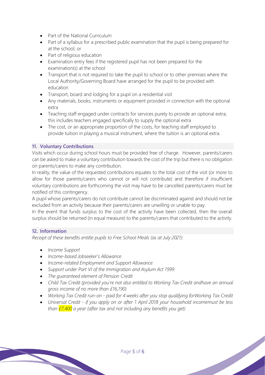- Part of the National Curriculum
- Part of a syllabus for a prescribed public examination that the pupil is being prepared for at the school; or
- Part of religious education
- Examination entry fees if the registered pupil has not been prepared for the examination(s) at the school
- Transport that is not required to take the pupil to school or to other premises where the Local Authority/Governing Board have arranged for the pupil to be provided with education
- Transport, board and lodging for a pupil on a residential visit
- Any materials, books, instruments or equipment provided in connection with the optional extra
- Teaching staff engaged under contracts for services purely to provide an optional extra; this includes teachers engaged specifically to supply the optional extra
- The cost, or an appropriate proportion of the costs, for teaching staff employed to provide tuition in playing a musical instrument, where the tuition is an optional extra.

## **11. Voluntary Contributions**

Visits which occur during school hours must be provided free of charge. However, parents/carers can be asked to make a voluntary contribution towards the cost of the trip but there is no obligation on parents/carers to make any contribution.

In reality, the value of the requested contributions equates to the total cost of the visit (or more to allow for those parents/carers who cannot or will not contribute) and therefore if insufficient voluntary contributions are forthcoming the visit may have to be cancelled parents/carers must be notified of this contingency.

A pupil whose parents/carers do not contribute cannot be discriminated against and should not be excluded from an activity because their parents/carers are unwilling or unable to pay.

In the event that funds surplus to the cost of the activity have been collected, then the overall surplus should be returned (in equal measure) to the parents/carers that contributed to the activity.

## **12. Information**

*Receipt of these benefits entitle pupils to Free School Meals (as at July 2021):*

- *Income Support*
- *Income-based Jobseeker's Allowance*
- *Income-related Employment and Support Allowance*
- *Support under Part VI of the Immigration and Asylum Act 1999*
- *The guaranteed element of Pension Credit*
- *Child Tax Credit (provided you're not also entitled to Working Tax Credit andhave an annual gross income of no more than £16,190)*
- *Working Tax Credit run-on - paid for 4 weeks after you stop qualifying forWorking Tax Credit*
- *Universal Credit - if you apply on or after 1 April 2018 your household incomemust be less than £7,400 a year (after tax and not including any benefits you get)*